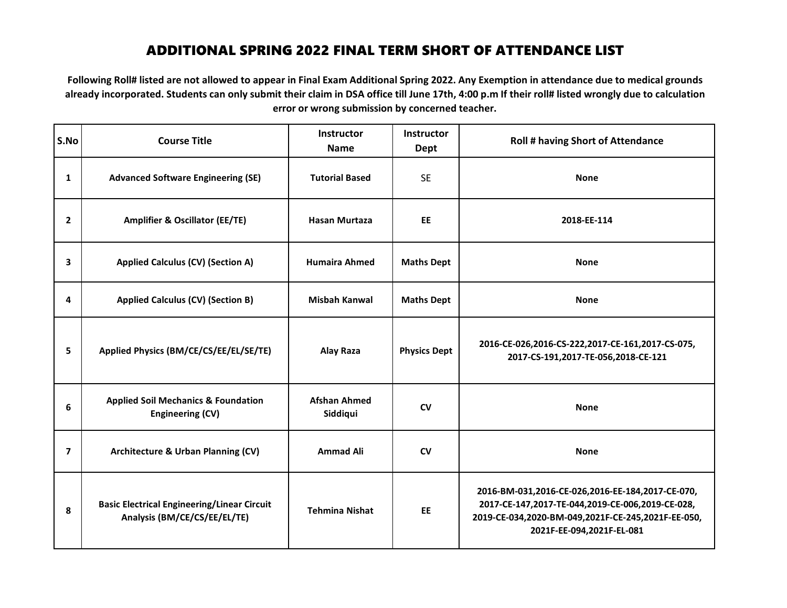| S.No                    | <b>Course Title</b>                                                                | Instructor<br><b>Name</b>       | <b>Instructor</b><br><b>Dept</b> | <b>Roll # having Short of Attendance</b>                                                                                                                                                |
|-------------------------|------------------------------------------------------------------------------------|---------------------------------|----------------------------------|-----------------------------------------------------------------------------------------------------------------------------------------------------------------------------------------|
| 1                       | <b>Advanced Software Engineering (SE)</b>                                          | <b>Tutorial Based</b>           | <b>SE</b>                        | <b>None</b>                                                                                                                                                                             |
| $\overline{2}$          | <b>Amplifier &amp; Oscillator (EE/TE)</b>                                          | <b>Hasan Murtaza</b>            | EE.                              | 2018-EE-114                                                                                                                                                                             |
| 3                       | <b>Applied Calculus (CV) (Section A)</b>                                           | <b>Humaira Ahmed</b>            | <b>Maths Dept</b>                | <b>None</b>                                                                                                                                                                             |
| 4                       | <b>Applied Calculus (CV) (Section B)</b>                                           | <b>Misbah Kanwal</b>            | <b>Maths Dept</b>                | <b>None</b>                                                                                                                                                                             |
| 5                       | Applied Physics (BM/CE/CS/EE/EL/SE/TE)                                             | <b>Alay Raza</b>                | <b>Physics Dept</b>              | 2016-CE-026,2016-CS-222,2017-CE-161,2017-CS-075,<br>2017-CS-191,2017-TE-056,2018-CE-121                                                                                                 |
| 6                       | <b>Applied Soil Mechanics &amp; Foundation</b><br><b>Engineering (CV)</b>          | <b>Afshan Ahmed</b><br>Siddiqui | <b>CV</b>                        | <b>None</b>                                                                                                                                                                             |
| $\overline{\mathbf{z}}$ | Architecture & Urban Planning (CV)                                                 | <b>Ammad Ali</b>                | <b>CV</b>                        | <b>None</b>                                                                                                                                                                             |
| 8                       | <b>Basic Electrical Engineering/Linear Circuit</b><br>Analysis (BM/CE/CS/EE/EL/TE) | <b>Tehmina Nishat</b>           | <b>EE</b>                        | 2016-BM-031,2016-CE-026,2016-EE-184,2017-CE-070,<br>2017-CE-147,2017-TE-044,2019-CE-006,2019-CE-028,<br>2019-CE-034,2020-BM-049,2021F-CE-245,2021F-EE-050,<br>2021F-EE-094,2021F-EL-081 |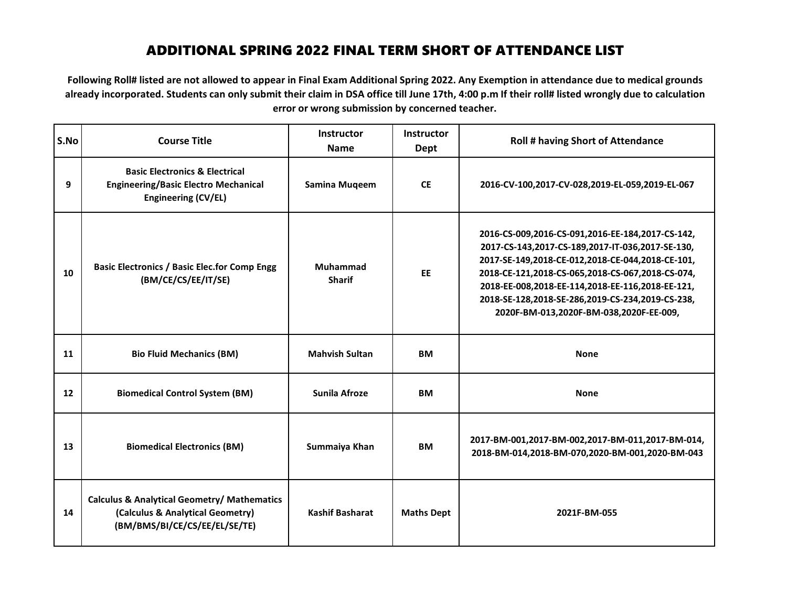| S.No | <b>Course Title</b>                                                                                                         | <b>Instructor</b><br><b>Name</b> | <b>Instructor</b><br>Dept | <b>Roll # having Short of Attendance</b>                                                                                                                                                                                                                                                                                                                        |
|------|-----------------------------------------------------------------------------------------------------------------------------|----------------------------------|---------------------------|-----------------------------------------------------------------------------------------------------------------------------------------------------------------------------------------------------------------------------------------------------------------------------------------------------------------------------------------------------------------|
| 9    | <b>Basic Electronics &amp; Electrical</b><br><b>Engineering/Basic Electro Mechanical</b><br><b>Engineering (CV/EL)</b>      | Samina Muqeem                    | <b>CE</b>                 | 2016-CV-100,2017-CV-028,2019-EL-059,2019-EL-067                                                                                                                                                                                                                                                                                                                 |
| 10   | <b>Basic Electronics / Basic Elec.for Comp Engg</b><br>(BM/CE/CS/EE/IT/SE)                                                  | <b>Muhammad</b><br><b>Sharif</b> | <b>EE</b>                 | 2016-CS-009,2016-CS-091,2016-EE-184,2017-CS-142,<br>2017-CS-143,2017-CS-189,2017-IT-036,2017-SE-130,<br>2017-SE-149,2018-CE-012,2018-CE-044,2018-CE-101,<br>2018-CE-121,2018-CS-065,2018-CS-067,2018-CS-074,<br>2018-EE-008,2018-EE-114,2018-EE-116,2018-EE-121,<br>2018-SE-128,2018-SE-286,2019-CS-234,2019-CS-238,<br>2020F-BM-013,2020F-BM-038,2020F-EE-009, |
| 11   | <b>Bio Fluid Mechanics (BM)</b>                                                                                             | <b>Mahvish Sultan</b>            | <b>BM</b>                 | <b>None</b>                                                                                                                                                                                                                                                                                                                                                     |
| 12   | <b>Biomedical Control System (BM)</b>                                                                                       | <b>Sunila Afroze</b>             | <b>BM</b>                 | <b>None</b>                                                                                                                                                                                                                                                                                                                                                     |
| 13   | <b>Biomedical Electronics (BM)</b>                                                                                          | Summaiya Khan                    | ВM                        | 2017-BM-001,2017-BM-002,2017-BM-011,2017-BM-014,<br>2018-BM-014,2018-BM-070,2020-BM-001,2020-BM-043                                                                                                                                                                                                                                                             |
| 14   | <b>Calculus &amp; Analytical Geometry/ Mathematics</b><br>(Calculus & Analytical Geometry)<br>(BM/BMS/BI/CE/CS/EE/EL/SE/TE) | <b>Kashif Basharat</b>           | <b>Maths Dept</b>         | 2021F-BM-055                                                                                                                                                                                                                                                                                                                                                    |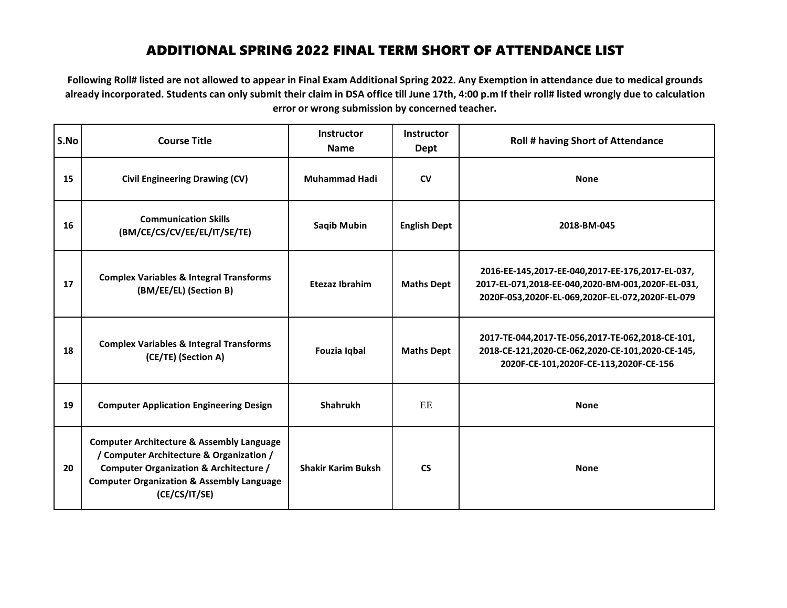| S.No | <b>Course Title</b>                                                                                                                                                                                                            | <b>Instructor</b><br><b>Name</b> | <b>Instructor</b><br>Dept | <b>Roll # having Short of Attendance</b>                                                                                                                  |
|------|--------------------------------------------------------------------------------------------------------------------------------------------------------------------------------------------------------------------------------|----------------------------------|---------------------------|-----------------------------------------------------------------------------------------------------------------------------------------------------------|
| 15   | <b>Civil Engineering Drawing (CV)</b>                                                                                                                                                                                          | <b>Muhammad Hadi</b>             | $\mathsf{cv}$             | <b>None</b>                                                                                                                                               |
| 16   | <b>Communication Skills</b><br>(BM/CE/CS/CV/EE/EL/IT/SE/TE)                                                                                                                                                                    | <b>Saqib Mubin</b>               | <b>English Dept</b>       | 2018-BM-045                                                                                                                                               |
| 17   | <b>Complex Variables &amp; Integral Transforms</b><br>(BM/EE/EL) (Section B)                                                                                                                                                   | Etezaz Ibrahim                   | <b>Maths Dept</b>         | 2016-EE-145,2017-EE-040,2017-EE-176,2017-EL-037,<br>2017-EL-071,2018-EE-040,2020-BM-001,2020F-EL-031,<br>2020F-053,2020F-EL-069,2020F-EL-072,2020F-EL-079 |
| 18   | <b>Complex Variables &amp; Integral Transforms</b><br>(CE/TE) (Section A)                                                                                                                                                      | Fouzia Iqbal                     | <b>Maths Dept</b>         | 2017-TE-044,2017-TE-056,2017-TE-062,2018-CE-101,<br>2018-CE-121,2020-CE-062,2020-CE-101,2020-CE-145,<br>2020F-CE-101,2020F-CE-113,2020F-CE-156            |
| 19   | <b>Computer Application Engineering Design</b>                                                                                                                                                                                 | Shahrukh                         | EE                        | <b>None</b>                                                                                                                                               |
| 20   | <b>Computer Architecture &amp; Assembly Language</b><br>/ Computer Architecture & Organization /<br><b>Computer Organization &amp; Architecture /</b><br><b>Computer Organization &amp; Assembly Language</b><br>(CE/CS/IT/SE) | <b>Shakir Karim Buksh</b>        | <b>CS</b>                 | <b>None</b>                                                                                                                                               |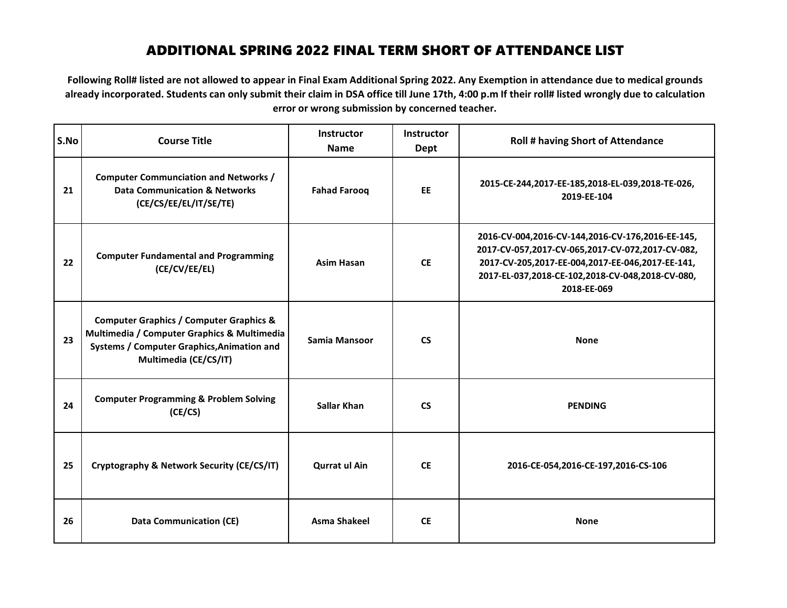| S.No | <b>Course Title</b>                                                                                                                                                      | <b>Instructor</b><br><b>Name</b> | <b>Instructor</b><br>Dept | <b>Roll # having Short of Attendance</b>                                                                                                                                                                                    |
|------|--------------------------------------------------------------------------------------------------------------------------------------------------------------------------|----------------------------------|---------------------------|-----------------------------------------------------------------------------------------------------------------------------------------------------------------------------------------------------------------------------|
| 21   | <b>Computer Communciation and Networks /</b><br><b>Data Communication &amp; Networks</b><br>(CE/CS/EE/EL/IT/SE/TE)                                                       | <b>Fahad Farooq</b>              | EE                        | 2015-CE-244,2017-EE-185,2018-EL-039,2018-TE-026,<br>2019-EE-104                                                                                                                                                             |
| 22   | <b>Computer Fundamental and Programming</b><br>(CE/CV/EE/EL)                                                                                                             | <b>Asim Hasan</b>                | <b>CE</b>                 | 2016-CV-004,2016-CV-144,2016-CV-176,2016-EE-145,<br>2017-CV-057,2017-CV-065,2017-CV-072,2017-CV-082,<br>2017-CV-205,2017-EE-004,2017-EE-046,2017-EE-141,<br>2017-EL-037,2018-CE-102,2018-CV-048,2018-CV-080,<br>2018-EE-069 |
| 23   | <b>Computer Graphics / Computer Graphics &amp;</b><br>Multimedia / Computer Graphics & Multimedia<br>Systems / Computer Graphics, Animation and<br>Multimedia (CE/CS/IT) | Samia Mansoor                    | <b>CS</b>                 | <b>None</b>                                                                                                                                                                                                                 |
| 24   | <b>Computer Programming &amp; Problem Solving</b><br>(CE/CS)                                                                                                             | <b>Sallar Khan</b>               | <b>CS</b>                 | <b>PENDING</b>                                                                                                                                                                                                              |
| 25   | Cryptography & Network Security (CE/CS/IT)                                                                                                                               | <b>Qurrat ul Ain</b>             | <b>CE</b>                 | 2016-CE-054,2016-CE-197,2016-CS-106                                                                                                                                                                                         |
| 26   | <b>Data Communication (CE)</b>                                                                                                                                           | <b>Asma Shakeel</b>              | <b>CE</b>                 | <b>None</b>                                                                                                                                                                                                                 |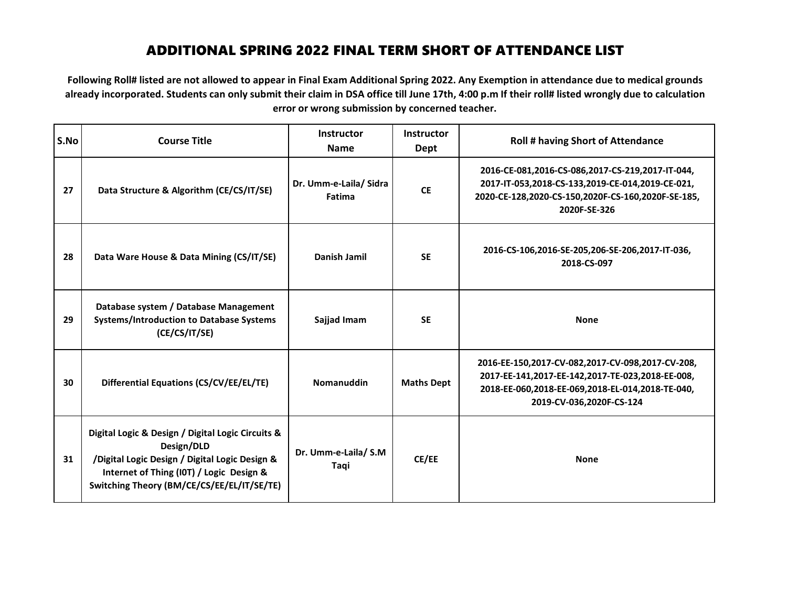| S.No | <b>Course Title</b>                                                                                                                                                                                         | <b>Instructor</b><br><b>Name</b> | <b>Instructor</b><br>Dept | <b>Roll # having Short of Attendance</b>                                                                                                                                             |
|------|-------------------------------------------------------------------------------------------------------------------------------------------------------------------------------------------------------------|----------------------------------|---------------------------|--------------------------------------------------------------------------------------------------------------------------------------------------------------------------------------|
| 27   | Data Structure & Algorithm (CE/CS/IT/SE)                                                                                                                                                                    | Dr. Umm-e-Laila/ Sidra<br>Fatima | <b>CE</b>                 | 2016-CE-081,2016-CS-086,2017-CS-219,2017-IT-044,<br>2017-IT-053,2018-CS-133,2019-CE-014,2019-CE-021,<br>2020-CE-128,2020-CS-150,2020F-CS-160,2020F-SE-185,<br>2020F-SE-326           |
| 28   | Data Ware House & Data Mining (CS/IT/SE)                                                                                                                                                                    | Danish Jamil                     | <b>SE</b>                 | 2016-CS-106,2016-SE-205,206-SE-206,2017-IT-036,<br>2018-CS-097                                                                                                                       |
| 29   | Database system / Database Management<br><b>Systems/Introduction to Database Systems</b><br>(CE/CS/IT/SE)                                                                                                   | Sajjad Imam                      | <b>SE</b>                 | <b>None</b>                                                                                                                                                                          |
| 30   | Differential Equations (CS/CV/EE/EL/TE)                                                                                                                                                                     | Nomanuddin                       | <b>Maths Dept</b>         | 2016-EE-150,2017-CV-082,2017-CV-098,2017-CV-208,<br>2017-EE-141,2017-EE-142,2017-TE-023,2018-EE-008,<br>2018-EE-060,2018-EE-069,2018-EL-014,2018-TE-040,<br>2019-CV-036,2020F-CS-124 |
| 31   | Digital Logic & Design / Digital Logic Circuits &<br>Design/DLD<br>/Digital Logic Design / Digital Logic Design &<br>Internet of Thing (IOT) / Logic Design &<br>Switching Theory (BM/CE/CS/EE/EL/IT/SE/TE) | Dr. Umm-e-Laila/ S.M<br>Taqi     | CE/EE                     | <b>None</b>                                                                                                                                                                          |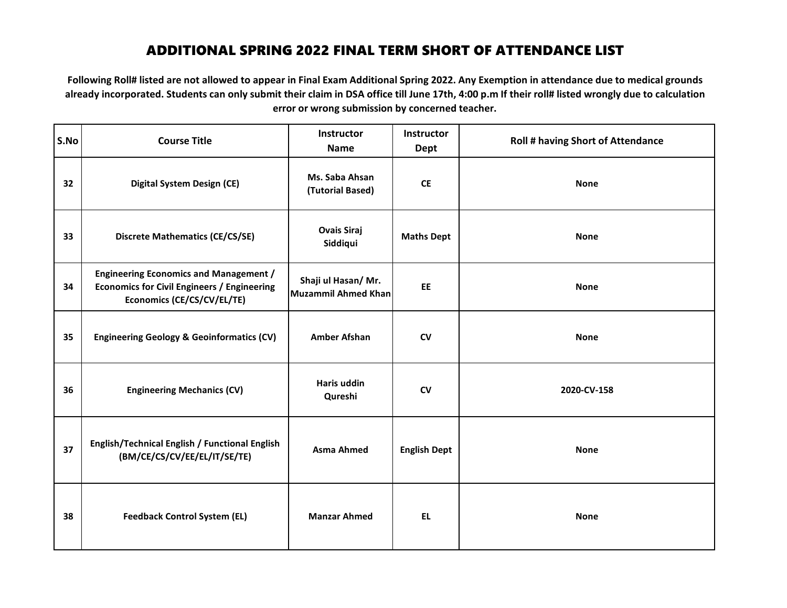| S.No | <b>Course Title</b>                                                                                                               | Instructor<br><b>Name</b>                         | Instructor<br>Dept  | <b>Roll # having Short of Attendance</b> |
|------|-----------------------------------------------------------------------------------------------------------------------------------|---------------------------------------------------|---------------------|------------------------------------------|
| 32   | <b>Digital System Design (CE)</b>                                                                                                 | Ms. Saba Ahsan<br>(Tutorial Based)                | <b>CE</b>           | <b>None</b>                              |
| 33   | <b>Discrete Mathematics (CE/CS/SE)</b>                                                                                            | <b>Ovais Siraj</b><br>Siddiqui                    | <b>Maths Dept</b>   | <b>None</b>                              |
| 34   | <b>Engineering Economics and Management /</b><br><b>Economics for Civil Engineers / Engineering</b><br>Economics (CE/CS/CV/EL/TE) | Shaji ul Hasan/ Mr.<br><b>Muzammil Ahmed Khan</b> | EE                  | <b>None</b>                              |
| 35   | <b>Engineering Geology &amp; Geoinformatics (CV)</b>                                                                              | <b>Amber Afshan</b>                               | CV                  | <b>None</b>                              |
| 36   | <b>Engineering Mechanics (CV)</b>                                                                                                 | Haris uddin<br>Qureshi                            | CV                  | 2020-CV-158                              |
| 37   | English/Technical English / Functional English<br>(BM/CE/CS/CV/EE/EL/IT/SE/TE)                                                    | <b>Asma Ahmed</b>                                 | <b>English Dept</b> | <b>None</b>                              |
| 38   | <b>Feedback Control System (EL)</b>                                                                                               | <b>Manzar Ahmed</b>                               | EL.                 | <b>None</b>                              |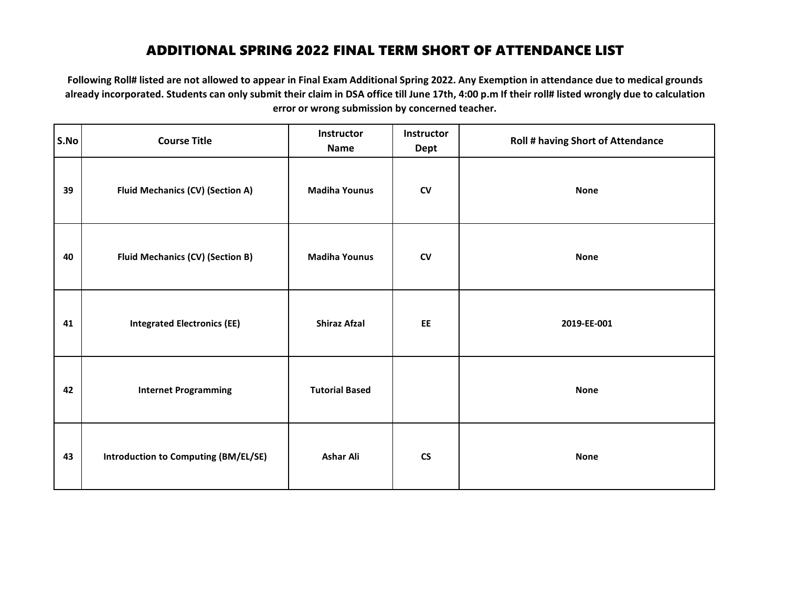| S.No | <b>Course Title</b>                     | Instructor<br><b>Name</b> | <b>Instructor</b><br><b>Dept</b> | Roll # having Short of Attendance |
|------|-----------------------------------------|---------------------------|----------------------------------|-----------------------------------|
| 39   | <b>Fluid Mechanics (CV) (Section A)</b> | <b>Madiha Younus</b>      | CV                               | <b>None</b>                       |
| 40   | <b>Fluid Mechanics (CV) (Section B)</b> | <b>Madiha Younus</b>      | ${\sf CV}$                       | <b>None</b>                       |
| 41   | <b>Integrated Electronics (EE)</b>      | <b>Shiraz Afzal</b>       | EE                               | 2019-EE-001                       |
| 42   | <b>Internet Programming</b>             | <b>Tutorial Based</b>     |                                  | <b>None</b>                       |
| 43   | Introduction to Computing (BM/EL/SE)    | <b>Ashar Ali</b>          | $\mathsf{CS}\phantom{0}$         | <b>None</b>                       |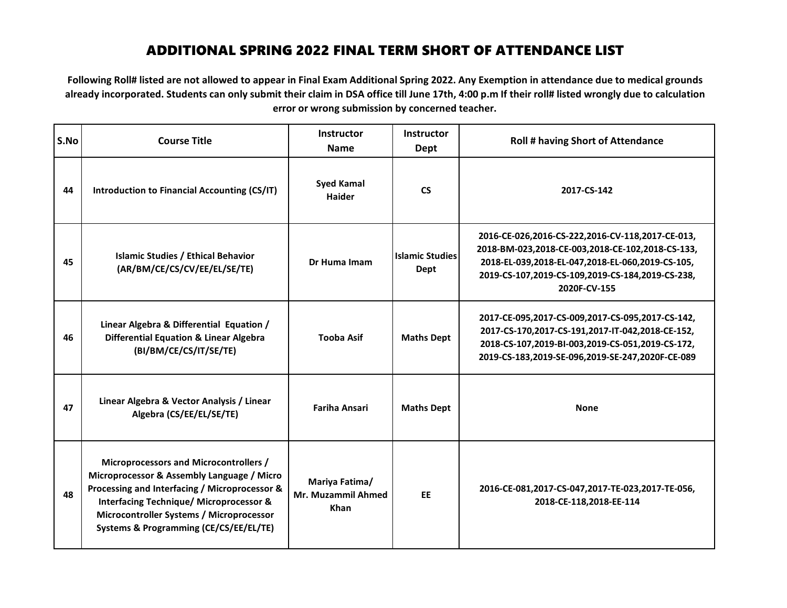| S.No | <b>Course Title</b>                                                                                                                                                                                                                                                               | <b>Instructor</b><br><b>Name</b>                           | <b>Instructor</b><br>Dept             | <b>Roll # having Short of Attendance</b>                                                                                                                                                                                     |
|------|-----------------------------------------------------------------------------------------------------------------------------------------------------------------------------------------------------------------------------------------------------------------------------------|------------------------------------------------------------|---------------------------------------|------------------------------------------------------------------------------------------------------------------------------------------------------------------------------------------------------------------------------|
| 44   | Introduction to Financial Accounting (CS/IT)                                                                                                                                                                                                                                      | <b>Syed Kamal</b><br><b>Haider</b>                         | <b>CS</b>                             | 2017-CS-142                                                                                                                                                                                                                  |
| 45   | <b>Islamic Studies / Ethical Behavior</b><br>(AR/BM/CE/CS/CV/EE/EL/SE/TE)                                                                                                                                                                                                         | Dr Huma Imam                                               | <b>Islamic Studies</b><br><b>Dept</b> | 2016-CE-026,2016-CS-222,2016-CV-118,2017-CE-013,<br>2018-BM-023,2018-CE-003,2018-CE-102,2018-CS-133,<br>2018-EL-039,2018-EL-047,2018-EL-060,2019-CS-105,<br>2019-CS-107,2019-CS-109,2019-CS-184,2019-CS-238,<br>2020F-CV-155 |
| 46   | Linear Algebra & Differential Equation /<br><b>Differential Equation &amp; Linear Algebra</b><br>(BI/BM/CE/CS/IT/SE/TE)                                                                                                                                                           | <b>Tooba Asif</b>                                          | <b>Maths Dept</b>                     | 2017-CE-095,2017-CS-009,2017-CS-095,2017-CS-142,<br>2017-CS-170,2017-CS-191,2017-IT-042,2018-CE-152,<br>2018-CS-107,2019-BI-003,2019-CS-051,2019-CS-172,<br>2019-CS-183,2019-SE-096,2019-SE-247,2020F-CE-089                 |
| 47   | Linear Algebra & Vector Analysis / Linear<br>Algebra (CS/EE/EL/SE/TE)                                                                                                                                                                                                             | <b>Fariha Ansari</b>                                       | <b>Maths Dept</b>                     | <b>None</b>                                                                                                                                                                                                                  |
| 48   | Microprocessors and Microcontrollers /<br>Microprocessor & Assembly Language / Micro<br>Processing and Interfacing / Microprocessor &<br><b>Interfacing Technique/ Microprocessor &amp;</b><br>Microcontroller Systems / Microprocessor<br>Systems & Programming (CE/CS/EE/EL/TE) | Mariya Fatima/<br><b>Mr. Muzammil Ahmed</b><br><b>Khan</b> | EE                                    | 2016-CE-081,2017-CS-047,2017-TE-023,2017-TE-056,<br>2018-CE-118,2018-EE-114                                                                                                                                                  |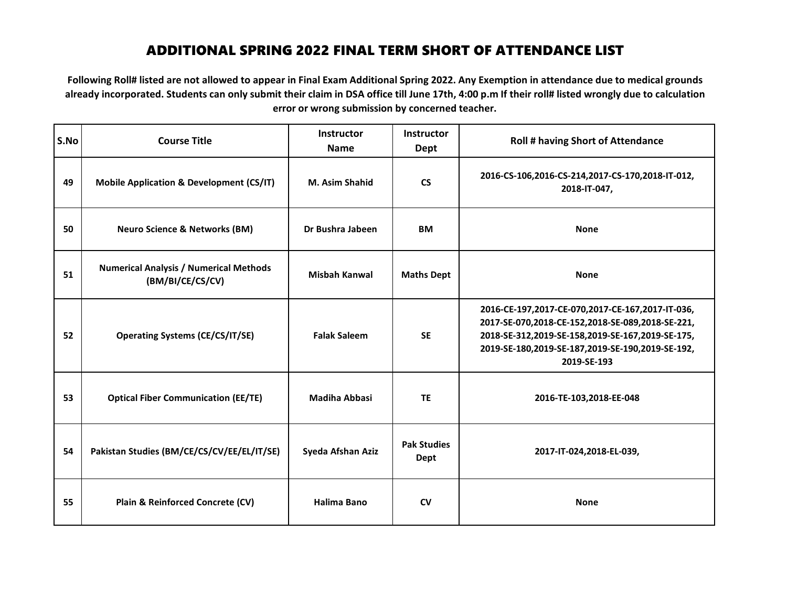| S.No | <b>Course Title</b>                                               | <b>Instructor</b><br><b>Name</b> | <b>Instructor</b><br><b>Dept</b> | <b>Roll # having Short of Attendance</b>                                                                                                                                                                                    |
|------|-------------------------------------------------------------------|----------------------------------|----------------------------------|-----------------------------------------------------------------------------------------------------------------------------------------------------------------------------------------------------------------------------|
| 49   | <b>Mobile Application &amp; Development (CS/IT)</b>               | M. Asim Shahid                   | $\mathsf{CS}\phantom{0}$         | 2016-CS-106,2016-CS-214,2017-CS-170,2018-IT-012,<br>2018-IT-047,                                                                                                                                                            |
| 50   | <b>Neuro Science &amp; Networks (BM)</b>                          | Dr Bushra Jabeen                 | <b>BM</b>                        | <b>None</b>                                                                                                                                                                                                                 |
| 51   | <b>Numerical Analysis / Numerical Methods</b><br>(BM/BI/CE/CS/CV) | <b>Misbah Kanwal</b>             | <b>Maths Dept</b>                | <b>None</b>                                                                                                                                                                                                                 |
| 52   | <b>Operating Systems (CE/CS/IT/SE)</b>                            | <b>Falak Saleem</b>              | <b>SE</b>                        | 2016-CE-197,2017-CE-070,2017-CE-167,2017-IT-036,<br>2017-SE-070,2018-CE-152,2018-SE-089,2018-SE-221,<br>2018-SE-312,2019-SE-158,2019-SE-167,2019-SE-175,<br>2019-SE-180,2019-SE-187,2019-SE-190,2019-SE-192,<br>2019-SE-193 |
| 53   | <b>Optical Fiber Communication (EE/TE)</b>                        | <b>Madiha Abbasi</b>             | <b>TE</b>                        | 2016-TE-103,2018-EE-048                                                                                                                                                                                                     |
| 54   | Pakistan Studies (BM/CE/CS/CV/EE/EL/IT/SE)                        | Syeda Afshan Aziz                | <b>Pak Studies</b><br>Dept       | 2017-IT-024,2018-EL-039,                                                                                                                                                                                                    |
| 55   | Plain & Reinforced Concrete (CV)                                  | <b>Halima Bano</b>               | <b>CV</b>                        | <b>None</b>                                                                                                                                                                                                                 |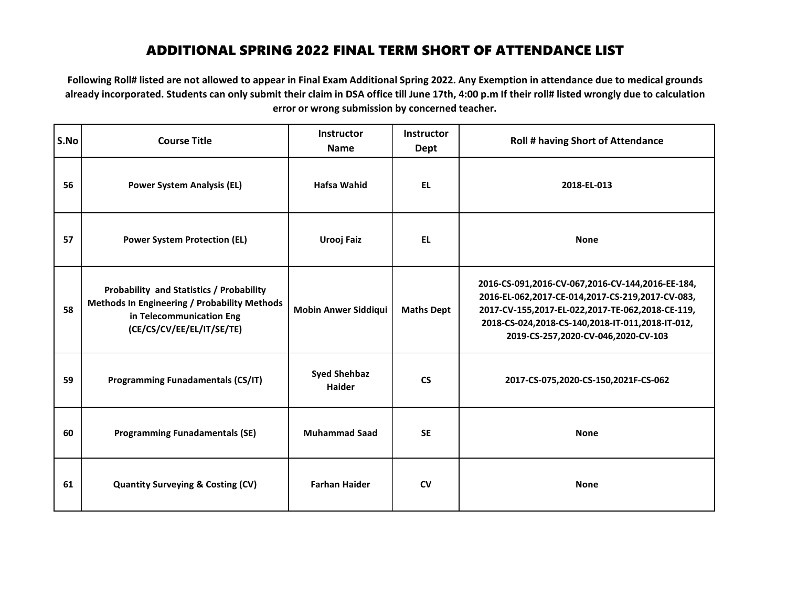| S.No | <b>Course Title</b>                                                                                                                                      | Instructor<br><b>Name</b>            | <b>Instructor</b><br><b>Dept</b> | <b>Roll # having Short of Attendance</b>                                                                                                                                                                                                            |
|------|----------------------------------------------------------------------------------------------------------------------------------------------------------|--------------------------------------|----------------------------------|-----------------------------------------------------------------------------------------------------------------------------------------------------------------------------------------------------------------------------------------------------|
| 56   | <b>Power System Analysis (EL)</b>                                                                                                                        | Hafsa Wahid                          | EL.                              | 2018-EL-013                                                                                                                                                                                                                                         |
| 57   | <b>Power System Protection (EL)</b>                                                                                                                      | Urooj Faiz                           | EL.                              | <b>None</b>                                                                                                                                                                                                                                         |
| 58   | Probability and Statistics / Probability<br><b>Methods In Engineering / Probability Methods</b><br>in Telecommunication Eng<br>(CE/CS/CV/EE/EL/IT/SE/TE) | <b>Mobin Anwer Siddiqui</b>          | <b>Maths Dept</b>                | 2016-CS-091,2016-CV-067,2016-CV-144,2016-EE-184,<br>2016-EL-062,2017-CE-014,2017-CS-219,2017-CV-083,<br>2017-CV-155,2017-EL-022,2017-TE-062,2018-CE-119,<br>2018-CS-024,2018-CS-140,2018-IT-011,2018-IT-012,<br>2019-CS-257,2020-CV-046,2020-CV-103 |
| 59   | <b>Programming Funadamentals (CS/IT)</b>                                                                                                                 | <b>Syed Shehbaz</b><br><b>Haider</b> | <b>CS</b>                        | 2017-CS-075,2020-CS-150,2021F-CS-062                                                                                                                                                                                                                |
| 60   | <b>Programming Funadamentals (SE)</b>                                                                                                                    | <b>Muhammad Saad</b>                 | <b>SE</b>                        | <b>None</b>                                                                                                                                                                                                                                         |
| 61   | <b>Quantity Surveying &amp; Costing (CV)</b>                                                                                                             | <b>Farhan Haider</b>                 | <b>CV</b>                        | <b>None</b>                                                                                                                                                                                                                                         |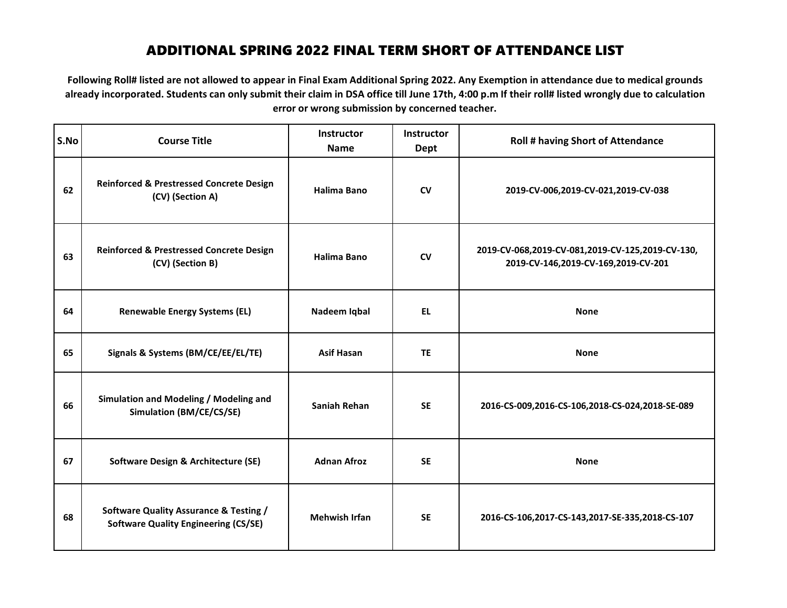| S.No | <b>Course Title</b>                                                                   | Instructor<br><b>Name</b> | <b>Instructor</b><br>Dept | <b>Roll # having Short of Attendance</b>                                                |
|------|---------------------------------------------------------------------------------------|---------------------------|---------------------------|-----------------------------------------------------------------------------------------|
| 62   | <b>Reinforced &amp; Prestressed Concrete Design</b><br>(CV) (Section A)               | Halima Bano               | $\mathsf{cv}$             | 2019-CV-006,2019-CV-021,2019-CV-038                                                     |
| 63   | <b>Reinforced &amp; Prestressed Concrete Design</b><br>(CV) (Section B)               | Halima Bano               | <b>CV</b>                 | 2019-CV-068,2019-CV-081,2019-CV-125,2019-CV-130,<br>2019-CV-146,2019-CV-169,2019-CV-201 |
| 64   | <b>Renewable Energy Systems (EL)</b>                                                  | Nadeem Iqbal              | EL                        | <b>None</b>                                                                             |
| 65   | Signals & Systems (BM/CE/EE/EL/TE)                                                    | <b>Asif Hasan</b>         | <b>TE</b>                 | <b>None</b>                                                                             |
| 66   | Simulation and Modeling / Modeling and<br>Simulation (BM/CE/CS/SE)                    | <b>Saniah Rehan</b>       | <b>SE</b>                 | 2016-CS-009,2016-CS-106,2018-CS-024,2018-SE-089                                         |
| 67   | <b>Software Design &amp; Architecture (SE)</b>                                        | <b>Adnan Afroz</b>        | <b>SE</b>                 | <b>None</b>                                                                             |
| 68   | Software Quality Assurance & Testing /<br><b>Software Quality Engineering (CS/SE)</b> | <b>Mehwish Irfan</b>      | <b>SE</b>                 | 2016-CS-106,2017-CS-143,2017-SE-335,2018-CS-107                                         |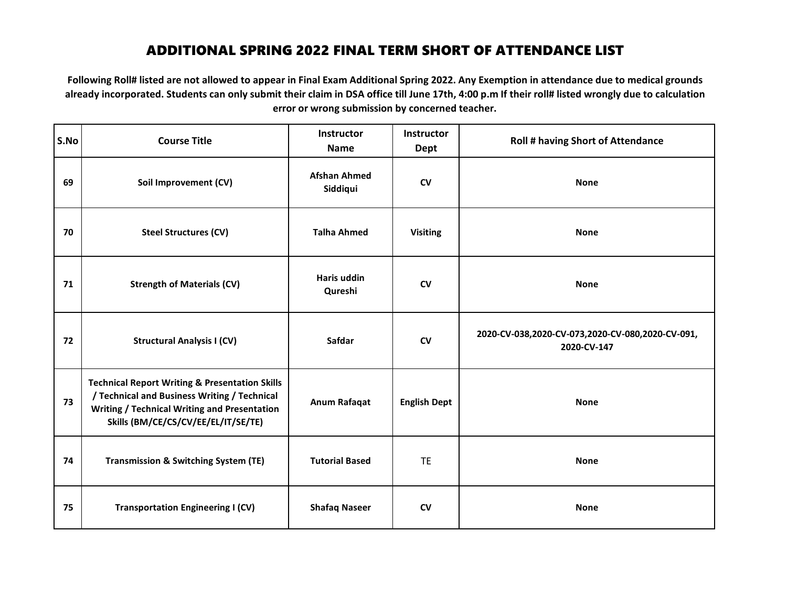| S.No | <b>Course Title</b>                                                                                                                                                                                     | Instructor<br><b>Name</b>       | Instructor<br>Dept  | <b>Roll # having Short of Attendance</b>                        |
|------|---------------------------------------------------------------------------------------------------------------------------------------------------------------------------------------------------------|---------------------------------|---------------------|-----------------------------------------------------------------|
| 69   | Soil Improvement (CV)                                                                                                                                                                                   | <b>Afshan Ahmed</b><br>Siddiqui | CV                  | <b>None</b>                                                     |
| 70   | <b>Steel Structures (CV)</b>                                                                                                                                                                            | <b>Talha Ahmed</b>              | <b>Visiting</b>     | <b>None</b>                                                     |
| 71   | <b>Strength of Materials (CV)</b>                                                                                                                                                                       | Haris uddin<br>Qureshi          | <b>CV</b>           | <b>None</b>                                                     |
| 72   | <b>Structural Analysis I (CV)</b>                                                                                                                                                                       | Safdar                          | CV                  | 2020-CV-038,2020-CV-073,2020-CV-080,2020-CV-091,<br>2020-CV-147 |
| 73   | <b>Technical Report Writing &amp; Presentation Skills</b><br>/ Technical and Business Writing / Technical<br><b>Writing / Technical Writing and Presentation</b><br>Skills (BM/CE/CS/CV/EE/EL/IT/SE/TE) | Anum Rafaqat                    | <b>English Dept</b> | <b>None</b>                                                     |
| 74   | <b>Transmission &amp; Switching System (TE)</b>                                                                                                                                                         | <b>Tutorial Based</b>           | <b>TE</b>           | <b>None</b>                                                     |
| 75   | <b>Transportation Engineering I (CV)</b>                                                                                                                                                                | <b>Shafaq Naseer</b>            | CV                  | <b>None</b>                                                     |